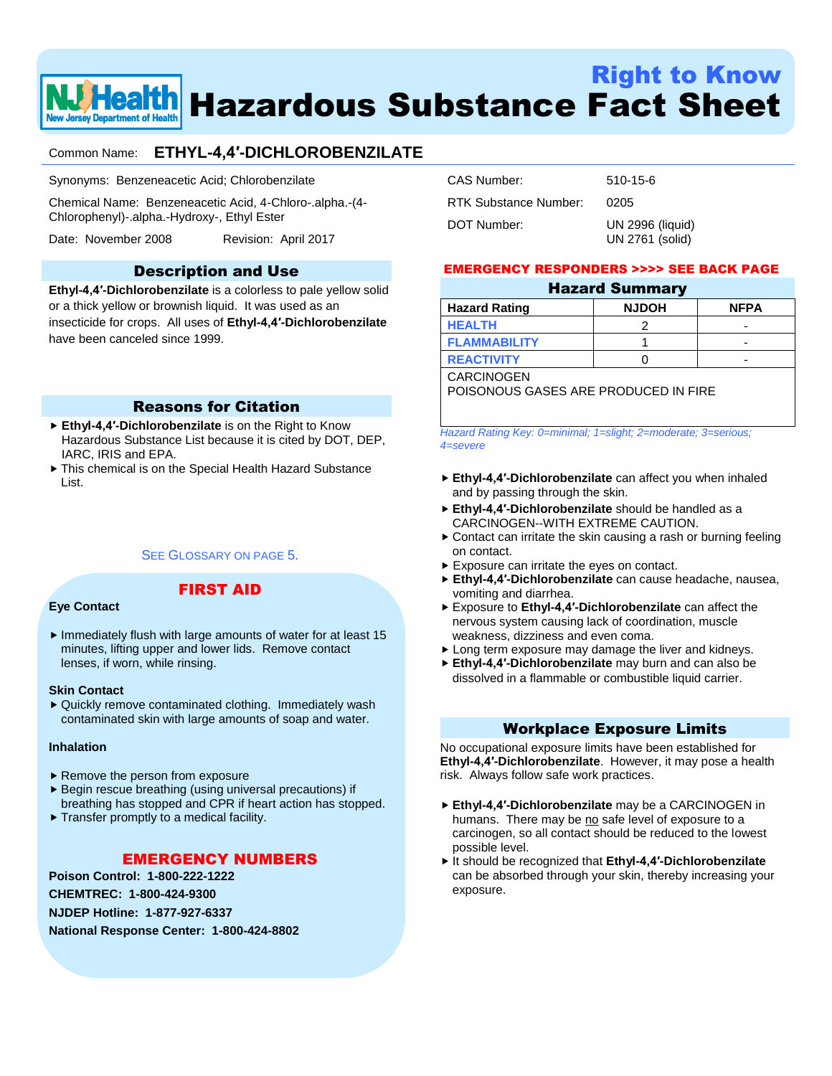

# Right to Know Health Hazardous Substance Fact Sheet

# Common Name: **ETHYL-4,4′-DICHLOROBENZILATE**

Synonyms: Benzeneacetic Acid; Chlorobenzilate

Chemical Name: Benzeneacetic Acid, 4-Chloro-.alpha.-(4- Chlorophenyl)-.alpha.-Hydroxy-, Ethyl Ester

Date: November 2008 Revision: April 2017

# Description and Use

**Ethyl-4,4′-Dichlorobenzilate** is a colorless to pale yellow solid or a thick yellow or brownish liquid. It was used as an insecticide for crops. All uses of **Ethyl-4,4′-Dichlorobenzilate** have been canceled since 1999.

# Reasons for Citation

- **Ethyl-4,4′-Dichlorobenzilate** is on the Right to Know Hazardous Substance List because it is cited by DOT, DEP, IARC, IRIS and EPA.
- $\blacktriangleright$  This chemical is on the Special Health Hazard Substance List.

#### SEE GLOSSARY ON PAGE 5.

FIRST AID

#### **Eye Contact**

 $\blacktriangleright$  Immediately flush with large amounts of water for at least 15 minutes, lifting upper and lower lids. Remove contact lenses, if worn, while rinsing.

#### **Skin Contact**

▶ Quickly remove contaminated clothing. Immediately wash contaminated skin with large amounts of soap and water.

#### **Inhalation**

- $\blacktriangleright$  Remove the person from exposure
- $\triangleright$  Begin rescue breathing (using universal precautions) if breathing has stopped and CPR if heart action has stopped.
- $\blacktriangleright$  Transfer promptly to a medical facility.

# EMERGENCY NUMBERS

**Poison Control: 1-800-222-1222**

**CHEMTREC: 1-800-424-9300**

**NJDEP Hotline: 1-877-927-6337**

**National Response Center: 1-800-424-8802**

| CAS Number:           | 510-15-6                            |
|-----------------------|-------------------------------------|
| RTK Substance Number: | 0205                                |
| DOT Number:           | UN 2996 (liquid)<br>UN 2761 (solid) |

# EMERGENCY RESPONDERS >>>> SEE BACK PAGE

#### Hazard Summary

| <b>Hazard Rating</b>         | <b>NJDOH</b> | <b>NFPA</b> |
|------------------------------|--------------|-------------|
| <b>HEALTH</b>                |              | -           |
| <b>FLAMMABILITY</b>          |              | -           |
| <b>REACTIVITY</b>            |              | -           |
| - - - - - - <b>- -</b> - - - |              |             |

CARCINOGEN

POISONOUS GASES ARE PRODUCED IN FIRE

*Hazard Rating Key: 0=minimal; 1=slight; 2=moderate; 3=serious; 4=severe*

- **Ethyl-4,4′-Dichlorobenzilate** can affect you when inhaled and by passing through the skin.
- **Ethyl-4,4′-Dichlorobenzilate** should be handled as a CARCINOGEN--WITH EXTREME CAUTION.
- Contact can irritate the skin causing a rash or burning feeling on contact.
- Exposure can irritate the eyes on contact.
- **Ethyl-4,4′-Dichlorobenzilate** can cause headache, nausea, vomiting and diarrhea.
- Exposure to **Ethyl-4,4′-Dichlorobenzilate** can affect the nervous system causing lack of coordination, muscle weakness, dizziness and even coma.
- **Long term exposure may damage the liver and kidneys.**
- **Ethyl-4,4′-Dichlorobenzilate** may burn and can also be dissolved in a flammable or combustible liquid carrier.

## Workplace Exposure Limits

No occupational exposure limits have been established for **Ethyl-4,4′-Dichlorobenzilate**. However, it may pose a health risk. Always follow safe work practices.

- **Ethyl-4,4′-Dichlorobenzilate** may be a CARCINOGEN in humans. There may be no safe level of exposure to a carcinogen, so all contact should be reduced to the lowest possible level.
- It should be recognized that **Ethyl-4,4′-Dichlorobenzilate** can be absorbed through your skin, thereby increasing your exposure.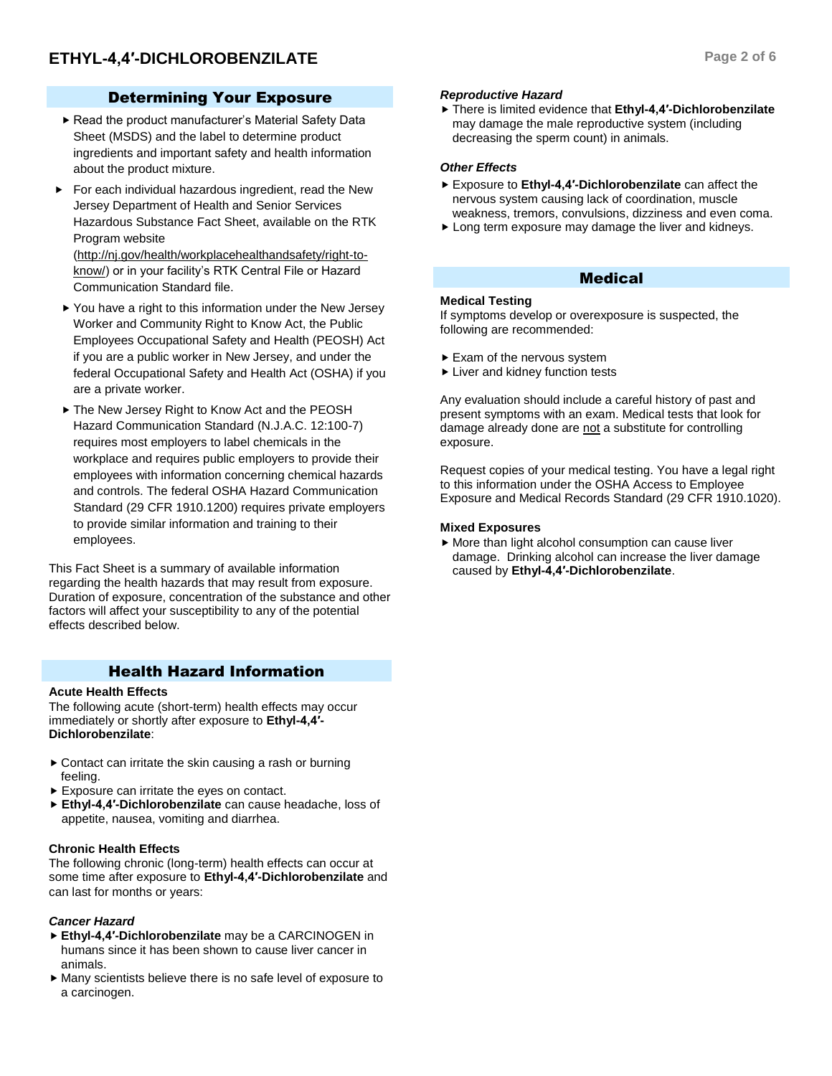# Determining Your Exposure

- Read the product manufacturer's Material Safety Data Sheet (MSDS) and the label to determine product ingredients and important safety and health information about the product mixture.
- For each individual hazardous ingredient, read the New Jersey Department of Health and Senior Services Hazardous Substance Fact Sheet, available on the RTK Program website (http://nj.gov/health/workplacehealthandsafety/right-to-

know/) or in your facility's RTK Central File or Hazard Communication Standard file.

- ▶ You have a right to this information under the New Jersey Worker and Community Right to Know Act, the Public Employees Occupational Safety and Health (PEOSH) Act if you are a public worker in New Jersey, and under the federal Occupational Safety and Health Act (OSHA) if you are a private worker.
- ▶ The New Jersey Right to Know Act and the PEOSH Hazard Communication Standard (N.J.A.C. 12:100-7) requires most employers to label chemicals in the workplace and requires public employers to provide their employees with information concerning chemical hazards and controls. The federal OSHA Hazard Communication Standard (29 CFR 1910.1200) requires private employers to provide similar information and training to their employees.

This Fact Sheet is a summary of available information regarding the health hazards that may result from exposure. Duration of exposure, concentration of the substance and other factors will affect your susceptibility to any of the potential effects described below.

# Health Hazard Information

#### **Acute Health Effects**

The following acute (short-term) health effects may occur immediately or shortly after exposure to **Ethyl-4,4′- Dichlorobenzilate**:

- ▶ Contact can irritate the skin causing a rash or burning feeling.
- Exposure can irritate the eyes on contact.
- **Ethyl-4,4′-Dichlorobenzilate** can cause headache, loss of appetite, nausea, vomiting and diarrhea.

## **Chronic Health Effects**

The following chronic (long-term) health effects can occur at some time after exposure to **Ethyl-4,4′-Dichlorobenzilate** and can last for months or years:

## *Cancer Hazard*

- **Ethyl-4,4′-Dichlorobenzilate** may be a CARCINOGEN in humans since it has been shown to cause liver cancer in animals.
- Many scientists believe there is no safe level of exposure to a carcinogen.

#### *Reproductive Hazard*

 There is limited evidence that **Ethyl-4,4′-Dichlorobenzilate** may damage the male reproductive system (including decreasing the sperm count) in animals.

#### *Other Effects*

- Exposure to **Ethyl-4,4′-Dichlorobenzilate** can affect the nervous system causing lack of coordination, muscle weakness, tremors, convulsions, dizziness and even coma.
- **Long term exposure may damage the liver and kidneys.**

# Medical

#### **Medical Testing**

If symptoms develop or overexposure is suspected, the following are recommended:

- Exam of the nervous system
- Liver and kidney function tests

Any evaluation should include a careful history of past and present symptoms with an exam. Medical tests that look for damage already done are not a substitute for controlling exposure.

Request copies of your medical testing. You have a legal right to this information under the OSHA Access to Employee Exposure and Medical Records Standard (29 CFR 1910.1020).

#### **Mixed Exposures**

 More than light alcohol consumption can cause liver damage. Drinking alcohol can increase the liver damage caused by **Ethyl-4,4′-Dichlorobenzilate**.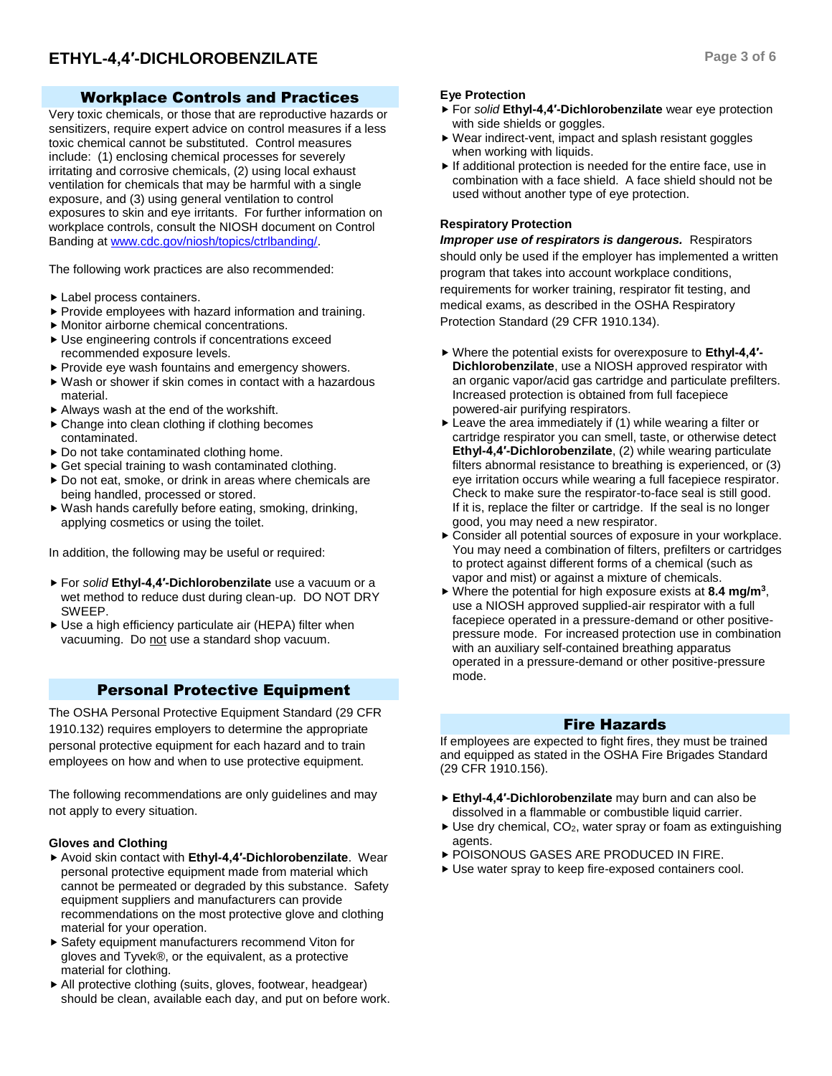# Workplace Controls and Practices

Very toxic chemicals, or those that are reproductive hazards or sensitizers, require expert advice on control measures if a less toxic chemical cannot be substituted. Control measures include: (1) enclosing chemical processes for severely irritating and corrosive chemicals, (2) using local exhaust ventilation for chemicals that may be harmful with a single exposure, and (3) using general ventilation to control exposures to skin and eye irritants. For further information on workplace controls, consult the NIOSH document on Control Banding a[t www.cdc.gov/niosh/topics/ctrlbanding/.](http://www.cdc.gov/niosh/topics/ctrlbanding/)

The following work practices are also recommended:

- Label process containers.
- $\blacktriangleright$  Provide employees with hazard information and training.
- Monitor airborne chemical concentrations.
- Use engineering controls if concentrations exceed recommended exposure levels.
- ▶ Provide eye wash fountains and emergency showers.
- Wash or shower if skin comes in contact with a hazardous material.
- Always wash at the end of the workshift.
- ▶ Change into clean clothing if clothing becomes contaminated.
- ▶ Do not take contaminated clothing home.
- ▶ Get special training to wash contaminated clothing.
- ▶ Do not eat, smoke, or drink in areas where chemicals are being handled, processed or stored.
- Wash hands carefully before eating, smoking, drinking, applying cosmetics or using the toilet.

In addition, the following may be useful or required:

- For *solid* **Ethyl-4,4′-Dichlorobenzilate** use a vacuum or a wet method to reduce dust during clean-up. DO NOT DRY SWEEP.
- Use a high efficiency particulate air (HEPA) filter when vacuuming. Do not use a standard shop vacuum.

# Personal Protective Equipment

The OSHA Personal Protective Equipment Standard (29 CFR 1910.132) requires employers to determine the appropriate personal protective equipment for each hazard and to train employees on how and when to use protective equipment.

The following recommendations are only guidelines and may not apply to every situation.

## **Gloves and Clothing**

- Avoid skin contact with **Ethyl-4,4′-Dichlorobenzilate**. Wear personal protective equipment made from material which cannot be permeated or degraded by this substance. Safety equipment suppliers and manufacturers can provide recommendations on the most protective glove and clothing material for your operation.
- Safety equipment manufacturers recommend Viton for gloves and Tyvek®, or the equivalent, as a protective material for clothing.
- All protective clothing (suits, gloves, footwear, headgear) should be clean, available each day, and put on before work.

## **Eye Protection**

- For *solid* **Ethyl-4,4′-Dichlorobenzilate** wear eye protection with side shields or goggles.
- Wear indirect-vent, impact and splash resistant goggles when working with liquids.
- $\blacktriangleright$  If additional protection is needed for the entire face, use in combination with a face shield. A face shield should not be used without another type of eye protection.

# **Respiratory Protection**

*Improper use of respirators is dangerous.* Respirators should only be used if the employer has implemented a written program that takes into account workplace conditions, requirements for worker training, respirator fit testing, and medical exams, as described in the OSHA Respiratory Protection Standard (29 CFR 1910.134).

- Where the potential exists for overexposure to **Ethyl-4,4′- Dichlorobenzilate**, use a NIOSH approved respirator with an organic vapor/acid gas cartridge and particulate prefilters. Increased protection is obtained from full facepiece powered-air purifying respirators.
- Leave the area immediately if (1) while wearing a filter or cartridge respirator you can smell, taste, or otherwise detect **Ethyl-4,4′-Dichlorobenzilate**, (2) while wearing particulate filters abnormal resistance to breathing is experienced, or (3) eye irritation occurs while wearing a full facepiece respirator. Check to make sure the respirator-to-face seal is still good. If it is, replace the filter or cartridge. If the seal is no longer good, you may need a new respirator.
- Consider all potential sources of exposure in your workplace. You may need a combination of filters, prefilters or cartridges to protect against different forms of a chemical (such as vapor and mist) or against a mixture of chemicals.
- Where the potential for high exposure exists at **8.4 mg/m<sup>3</sup>** , use a NIOSH approved supplied-air respirator with a full facepiece operated in a pressure-demand or other positivepressure mode. For increased protection use in combination with an auxiliary self-contained breathing apparatus operated in a pressure-demand or other positive-pressure mode.

# Fire Hazards

If employees are expected to fight fires, they must be trained and equipped as stated in the OSHA Fire Brigades Standard (29 CFR 1910.156).

- **Ethyl-4,4′-Dichlorobenzilate** may burn and can also be dissolved in a flammable or combustible liquid carrier.
- $\triangleright$  Use dry chemical, CO<sub>2</sub>, water spray or foam as extinguishing agents.
- **POISONOUS GASES ARE PRODUCED IN FIRE.**
- Use water spray to keep fire-exposed containers cool.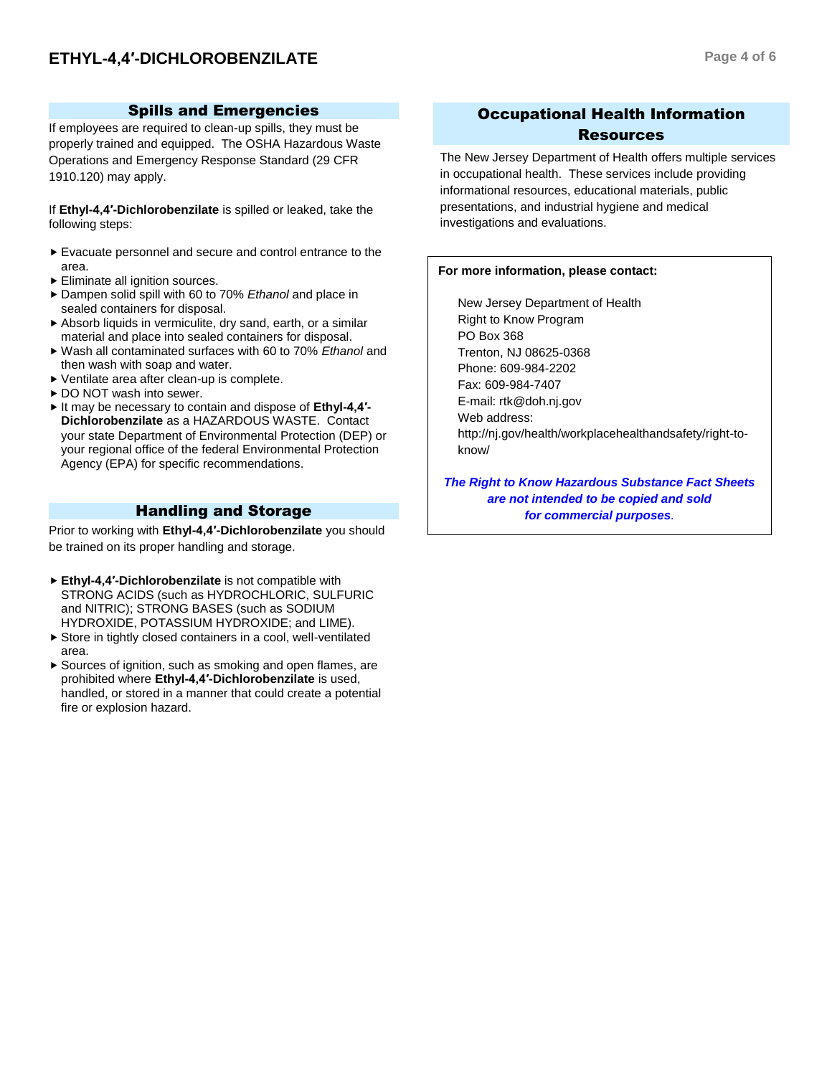# Spills and Emergencies

If employees are required to clean-up spills, they must be properly trained and equipped. The OSHA Hazardous Waste Operations and Emergency Response Standard (29 CFR 1910.120) may apply.

If **Ethyl-4,4′-Dichlorobenzilate** is spilled or leaked, take the following steps:

- Evacuate personnel and secure and control entrance to the area.
- Eliminate all ignition sources.
- ▶ Dampen solid spill with 60 to 70% *Ethanol* and place in sealed containers for disposal.
- Absorb liquids in vermiculite, dry sand, earth, or a similar material and place into sealed containers for disposal.
- Wash all contaminated surfaces with 60 to 70% *Ethanol* and then wash with soap and water.
- Ventilate area after clean-up is complete.
- ▶ DO NOT wash into sewer.
- It may be necessary to contain and dispose of **Ethyl-4,4′- Dichlorobenzilate** as a HAZARDOUS WASTE. Contact your state Department of Environmental Protection (DEP) or your regional office of the federal Environmental Protection Agency (EPA) for specific recommendations.

# Handling and Storage

Prior to working with **Ethyl-4,4′-Dichlorobenzilate** you should be trained on its proper handling and storage.

- **Ethyl-4,4′-Dichlorobenzilate** is not compatible with STRONG ACIDS (such as HYDROCHLORIC, SULFURIC and NITRIC); STRONG BASES (such as SODIUM HYDROXIDE, POTASSIUM HYDROXIDE; and LIME).
- ▶ Store in tightly closed containers in a cool, well-ventilated area.
- Sources of ignition, such as smoking and open flames, are prohibited where **Ethyl-4,4′-Dichlorobenzilate** is used, handled, or stored in a manner that could create a potential fire or explosion hazard.

# Occupational Health Information Resources

The New Jersey Department of Health offers multiple services in occupational health. These services include providing informational resources, educational materials, public presentations, and industrial hygiene and medical investigations and evaluations.

#### **For more information, please contact:**

New Jersey Department of Health Right to Know Program PO Box 368 Trenton, NJ 08625-0368 Phone: 609-984-2202 Fax: 609-984-7407 E-mail: rtk@doh.nj.gov Web address: http://nj.gov/health/workplacehealthandsafety/right-toknow/

*The Right to Know Hazardous Substance Fact Sheets are not intended to be copied and sold for commercial purposes.*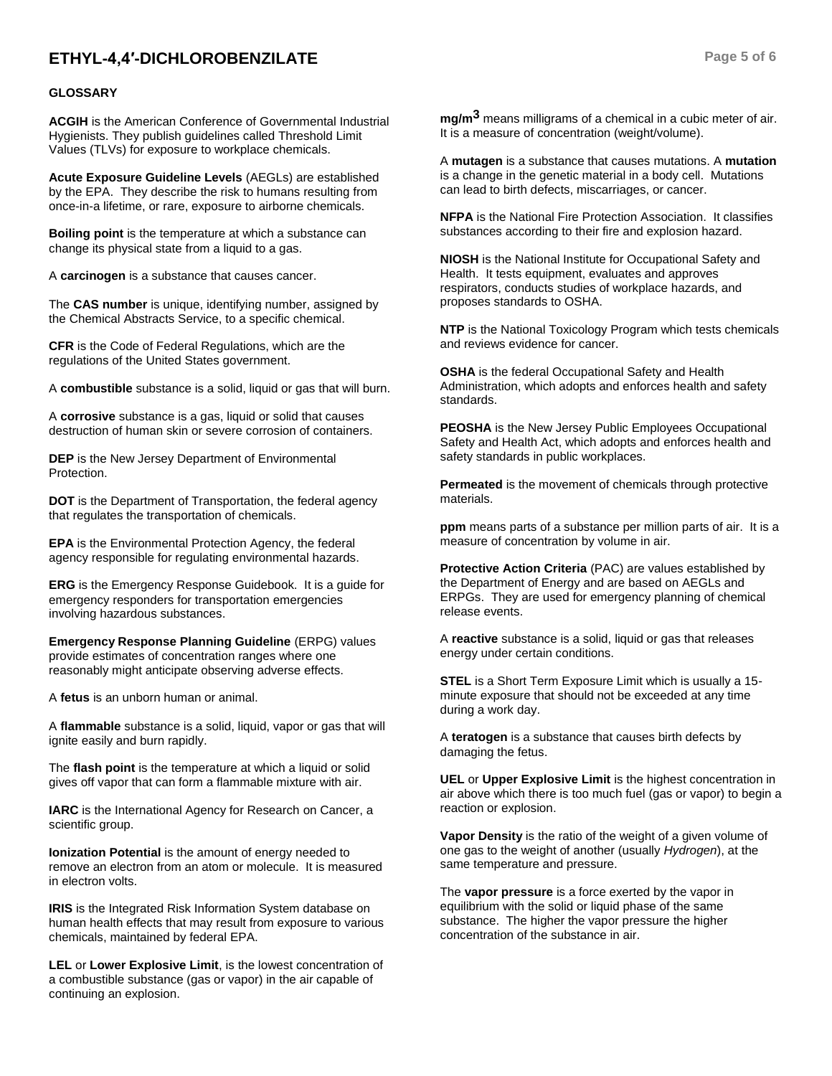# **ETHYL-4,4′-DICHLOROBENZILATE Page 5 of 6**

#### **GLOSSARY**

**ACGIH** is the American Conference of Governmental Industrial Hygienists. They publish guidelines called Threshold Limit Values (TLVs) for exposure to workplace chemicals.

**Acute Exposure Guideline Levels** (AEGLs) are established by the EPA. They describe the risk to humans resulting from once-in-a lifetime, or rare, exposure to airborne chemicals.

**Boiling point** is the temperature at which a substance can change its physical state from a liquid to a gas.

A **carcinogen** is a substance that causes cancer.

The **CAS number** is unique, identifying number, assigned by the Chemical Abstracts Service, to a specific chemical.

**CFR** is the Code of Federal Regulations, which are the regulations of the United States government.

A **combustible** substance is a solid, liquid or gas that will burn.

A **corrosive** substance is a gas, liquid or solid that causes destruction of human skin or severe corrosion of containers.

**DEP** is the New Jersey Department of Environmental Protection.

**DOT** is the Department of Transportation, the federal agency that regulates the transportation of chemicals.

**EPA** is the Environmental Protection Agency, the federal agency responsible for regulating environmental hazards.

**ERG** is the Emergency Response Guidebook. It is a guide for emergency responders for transportation emergencies involving hazardous substances.

**Emergency Response Planning Guideline** (ERPG) values provide estimates of concentration ranges where one reasonably might anticipate observing adverse effects.

A **fetus** is an unborn human or animal.

A **flammable** substance is a solid, liquid, vapor or gas that will ignite easily and burn rapidly.

The **flash point** is the temperature at which a liquid or solid gives off vapor that can form a flammable mixture with air.

**IARC** is the International Agency for Research on Cancer, a scientific group.

**Ionization Potential** is the amount of energy needed to remove an electron from an atom or molecule. It is measured in electron volts.

**IRIS** is the Integrated Risk Information System database on human health effects that may result from exposure to various chemicals, maintained by federal EPA.

**LEL** or **Lower Explosive Limit**, is the lowest concentration of a combustible substance (gas or vapor) in the air capable of continuing an explosion.

**mg/m3** means milligrams of a chemical in a cubic meter of air. It is a measure of concentration (weight/volume).

A **mutagen** is a substance that causes mutations. A **mutation** is a change in the genetic material in a body cell. Mutations can lead to birth defects, miscarriages, or cancer.

**NFPA** is the National Fire Protection Association. It classifies substances according to their fire and explosion hazard.

**NIOSH** is the National Institute for Occupational Safety and Health. It tests equipment, evaluates and approves respirators, conducts studies of workplace hazards, and proposes standards to OSHA.

**NTP** is the National Toxicology Program which tests chemicals and reviews evidence for cancer.

**OSHA** is the federal Occupational Safety and Health Administration, which adopts and enforces health and safety standards.

**PEOSHA** is the New Jersey Public Employees Occupational Safety and Health Act, which adopts and enforces health and safety standards in public workplaces.

**Permeated** is the movement of chemicals through protective materials.

**ppm** means parts of a substance per million parts of air. It is a measure of concentration by volume in air.

**Protective Action Criteria** (PAC) are values established by the Department of Energy and are based on AEGLs and ERPGs. They are used for emergency planning of chemical release events.

A **reactive** substance is a solid, liquid or gas that releases energy under certain conditions.

**STEL** is a Short Term Exposure Limit which is usually a 15 minute exposure that should not be exceeded at any time during a work day.

A **teratogen** is a substance that causes birth defects by damaging the fetus.

**UEL** or **Upper Explosive Limit** is the highest concentration in air above which there is too much fuel (gas or vapor) to begin a reaction or explosion.

**Vapor Density** is the ratio of the weight of a given volume of one gas to the weight of another (usually *Hydrogen*), at the same temperature and pressure.

The **vapor pressure** is a force exerted by the vapor in equilibrium with the solid or liquid phase of the same substance. The higher the vapor pressure the higher concentration of the substance in air.